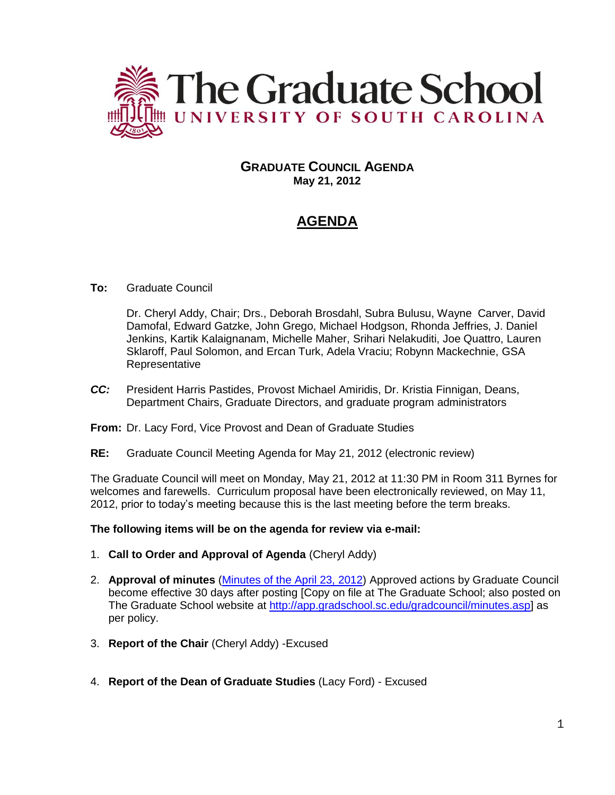

## **GRADUATE COUNCIL AGENDA May 21, 2012**

# **AGENDA**

## **To:** Graduate Council

Dr. Cheryl Addy, Chair; Drs., Deborah Brosdahl, Subra Bulusu, Wayne Carver, David Damofal, Edward Gatzke, John Grego, Michael Hodgson, Rhonda Jeffries, J. Daniel Jenkins, Kartik Kalaignanam, Michelle Maher, Srihari Nelakuditi, Joe Quattro, Lauren Sklaroff, Paul Solomon, and Ercan Turk, Adela Vraciu; Robynn Mackechnie, GSA Representative

- *CC:* President Harris Pastides, Provost Michael Amiridis, Dr. Kristia Finnigan, Deans, Department Chairs, Graduate Directors, and graduate program administrators
- **From:** Dr. Lacy Ford, Vice Provost and Dean of Graduate Studies
- **RE:** Graduate Council Meeting Agenda for May 21, 2012 (electronic review)

The Graduate Council will meet on Monday, May 21, 2012 at 11:30 PM in Room 311 Byrnes for welcomes and farewells. Curriculum proposal have been electronically reviewed, on May 11, 2012, prior to today's meeting because this is the last meeting before the term breaks.

**The following items will be on the agenda for review via e-mail:**

- 1. **Call to Order and Approval of Agenda** (Cheryl Addy)
- 2. **Approval of minutes** [\(Minutes of the April 23, 2012\)](http://app.gradschool.sc.edu/includes/filedownload-public.asp?location=E:/GMS/GRADCOUNCIL/2011/GCMinutes042312.pdf&file_name=GCMinutes042312.pdf) Approved actions by Graduate Council become effective 30 days after posting [Copy on file at The Graduate School; also posted on The Graduate School website at [http://app.gradschool.sc.edu/gradcouncil/minutes.asp\]](http://app.gradschool.sc.edu/gradcouncil/minutes.asp) as per policy.
- 3. **Report of the Chair** (Cheryl Addy) -Excused
- 4. **Report of the Dean of Graduate Studies** (Lacy Ford) Excused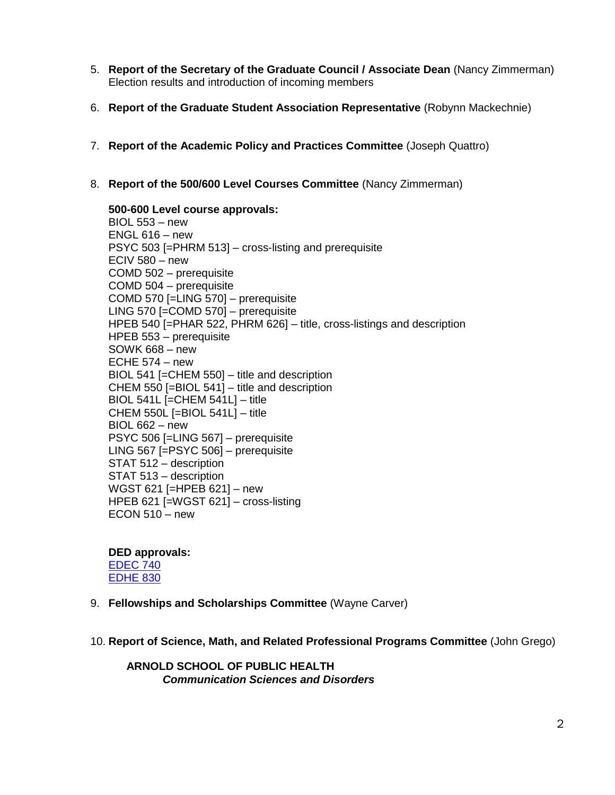- 5. **Report of the Secretary of the Graduate Council / Associate Dean** (Nancy Zimmerman) Election results and introduction of incoming members
- 6. **Report of the Graduate Student Association Representative** (Robynn Mackechnie)
- 7. **Report of the Academic Policy and Practices Committee** (Joseph Quattro)
- 8. **Report of the 500/600 Level Courses Committee** (Nancy Zimmerman)

**500-600 Level course approvals:** BIOL 553 – new  $ENGL 616 - new$ PSYC 503 [=PHRM 513] – cross-listing and prerequisite ECIV 580 – new COMD 502 – prerequisite COMD 504 – prerequisite COMD 570 [=LING 570] – prerequisite LING 570 [=COMD 570] – prerequisite HPEB 540 [=PHAR 522, PHRM 626] – title, cross-listings and description HPEB 553 – prerequisite SOWK 668 – new ECHE  $574 - new$ BIOL 541 [=CHEM 550] – title and description CHEM 550 [=BIOL 541] – title and description BIOL 541L [=CHEM 541L] – title CHEM 550L  $[=BIOL 541L] -$ title BIOL 662 – new PSYC 506 [=LING 567] – prerequisite LING 567 [=PSYC 506] – prerequisite STAT 512 – description STAT 513 – description WGST 621 [=HPEB 621] – new HPEB 621 [=WGST 621] – cross-listing  $ECON 510 - new$ 

**DED approvals:** [EDEC 740](http://app.gradschool.sc.edu/includes/filedownload-public.asp?location=E:/GMS/GRADCOUNCIL/2011/DEDEDEC740_201211.pdf&file_name=DEDEDEC740_201211.pdf) [EDHE 830](http://app.gradschool.sc.edu/includes/filedownload-public.asp?location=E:/GMS/GRADCOUNCIL/2011/DEDEDHE830_201241_Redacted.pdf&file_name=DEDEDHE830_201241_Redacted.pdf)

- 9. **Fellowships and Scholarships Committee** (Wayne Carver)
- 10. **Report of Science, Math, and Related Professional Programs Committee** (John Grego)

**ARNOLD SCHOOL OF PUBLIC HEALTH** *Communication Sciences and Disorders*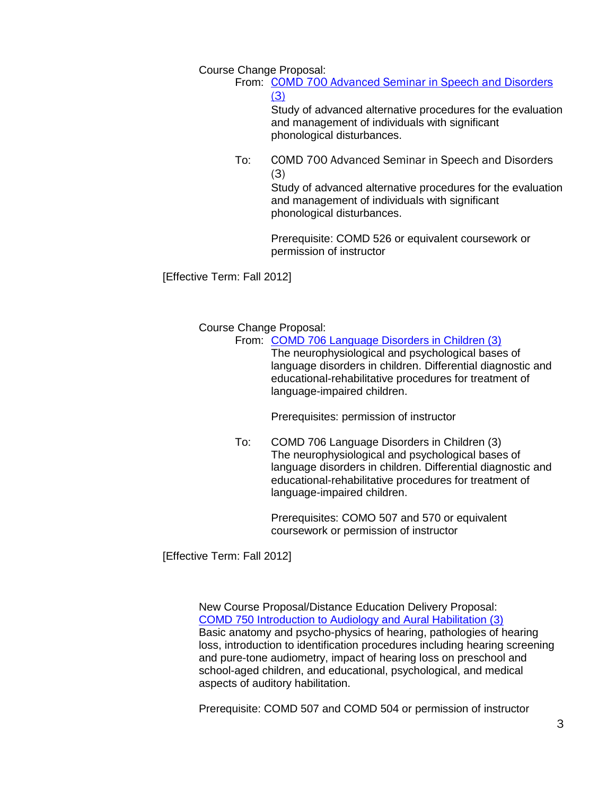Course Change Proposal:

From: [COMD 700 Advanced Seminar in Speech and Disorders](http://app.gradschool.sc.edu/includes/filedownload-public.asp?location=E:/GMS/GRADCOUNCIL/2011/CCPCOMD700_201241.pdf&file_name=CCPCOMD700_201241.pdf) [\(3\)](http://app.gradschool.sc.edu/includes/filedownload-public.asp?location=E:/GMS/GRADCOUNCIL/2011/CCPCOMD700_201241.pdf&file_name=CCPCOMD700_201241.pdf)

> Study of advanced alternative procedures for the evaluation and management of individuals with significant phonological disturbances.

To: COMD 700 Advanced Seminar in Speech and Disorders (3)

> Study of advanced alternative procedures for the evaluation and management of individuals with significant phonological disturbances.

Prerequisite: COMD 526 or equivalent coursework or permission of instructor

[Effective Term: Fall 2012]

Course Change Proposal:

From: [COMD 706 Language Disorders in Children \(3\)](http://app.gradschool.sc.edu/includes/filedownload-public.asp?location=E:/GMS/GRADCOUNCIL/2011/CCPCOMD706_201241.pdf&file_name=CCPCOMD706_201241.pdf)

The neurophysiological and psychological bases of language disorders in children. Differential diagnostic and educational-rehabilitative procedures for treatment of language-impaired children.

Prerequisites: permission of instructor

To: COMD 706 Language Disorders in Children (3) The neurophysiological and psychological bases of language disorders in children. Differential diagnostic and educational-rehabilitative procedures for treatment of language-impaired children.

> Prerequisites: COMO 507 and 570 or equivalent coursework or permission of instructor

[Effective Term: Fall 2012]

New Course Proposal/Distance Education Delivery Proposal: [COMD 750 Introduction to Audiology and Aural Habilitation \(3\)](http://app.gradschool.sc.edu/includes/filedownload-public.asp?location=E:/GMS/GRADCOUNCIL/2011/NCPCOMD750_201241_Redacted.pdf&file_name=NCPCOMD750_201241_Redacted.pdf) Basic anatomy and psycho-physics of hearing, pathologies of hearing loss, introduction to identification procedures including hearing screening and pure-tone audiometry, impact of hearing loss on preschool and school-aged children, and educational, psychological, and medical aspects of auditory habilitation.

Prerequisite: COMD 507 and COMD 504 or permission of instructor